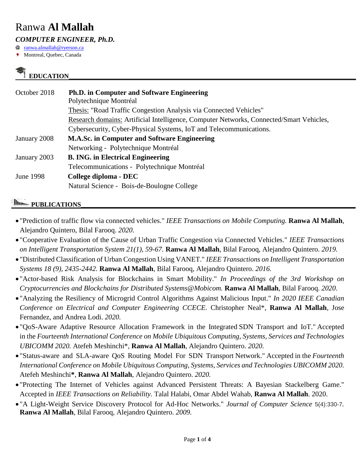# Ranwa **Al Mallah**

*COMPUTER ENGINEER, Ph.D.*

Q [ranwa.almallah@ryerson.ca](mailto:ranwa.almallah@ryerson.ca)

Montreal, Quebec, Canada

## **EDUCATION\_\_\_\_\_\_\_\_\_\_\_\_\_\_\_\_\_\_\_\_\_\_\_\_\_\_\_\_\_\_\_\_\_\_\_\_\_\_\_\_\_\_\_\_\_\_\_\_\_\_\_\_\_\_\_\_\_\_\_\_\_\_\_\_\_\_\_\_\_**

| October 2018 | <b>Ph.D.</b> in Computer and Software Engineering<br>Polytechnique Montréal             |
|--------------|-----------------------------------------------------------------------------------------|
|              | Thesis: "Road Traffic Congestion Analysis via Connected Vehicles"                       |
|              | Research domains: Artificial Intelligence, Computer Networks, Connected/Smart Vehicles, |
|              | Cybersecurity, Cyber-Physical Systems, IoT and Telecommunications.                      |
| January 2008 | <b>M.A.Sc. in Computer and Software Engineering</b>                                     |
|              | Networking - Polytechnique Montréal                                                     |
| January 2003 | <b>B. ING. in Electrical Engineering</b>                                                |
|              | Telecommunications - Polytechnique Montréal                                             |
| June 1998    | College diploma - DEC                                                                   |
|              | Natural Science - Bois-de-Boulogne College                                              |

## *PUBLICATIONS*

- "Prediction of traffic flow via connected vehicles." *IEEE Transactions on Mobile Computing.* **Ranwa Al Mallah**, Alejandro Quintero, Bilal Farooq. *2020*.
- "Cooperative Evaluation of the Cause of Urban Traffic Congestion via Connected Vehicles." *IEEE Transactions on Intelligent Transportation System 21(1), 59-67.* **Ranwa Al Mallah**, Bilal Farooq, Alejandro Quintero. *2019.*
- "Distributed Classification of Urban Congestion Using VANET." *IEEE Transactions on Intelligent Transportation Systems 18 (9), 2435-2442.* **Ranwa Al Mallah**, Bilal Farooq, Alejandro Quintero. *2016.*
- "Actor-based Risk Analysis for Blockchains in Smart Mobility." *In Proceedings of the 3rd Workshop on Cryptocurrencies and Blockchains for Distributed Systems@Mobicom.* **Ranwa Al Mallah**, Bilal Farooq. *2020*.
- "Analyzing the Resiliency of Microgrid Control Algorithms Against Malicious Input." *In 2020 IEEE Canadian Conference on Electrical and Computer Engineering CCECE.* Christopher Neal\*, **Ranwa Al Mallah**, Jose Fernandez, and Andrea Lodi. *2020.*
- "QoS-Aware Adaptive Resource Allocation Framework in the Integrated SDN Transport and IoT." Accepted in the *Fourteenth International Conference on Mobile Ubiquitous Computing, Systems, Services and Technologies UBICOMM 2020.* Atefeh Meshinchi\*, **Ranwa Al Mallah**, Alejandro Quintero. *2020.*
- "Status-aware and SLA-aware QoS Routing Model For SDN Transport Network." Accepted in the *Fourteenth International Conference on Mobile Ubiquitous Computing, Systems, Services and Technologies UBICOMM 2020.*  Atefeh Meshinchi**\***, **Ranwa Al Mallah**, Alejandro Quintero. *2020.*
- "Protecting The Internet of Vehicles against Advanced Persistent Threats: A Bayesian Stackelberg Game." Accepted in *IEEE Transactions on Reliability.* Talal Halabi, Omar Abdel Wahab, **Ranwa Al Mallah**. 2020.
- "A Light-Weight Service Discovery Protocol for Ad-Hoc Networks." *Journal of Computer Science* 5(4):330-7*.* **Ranwa Al Mallah**, Bilal Farooq, Alejandro Quintero. *2009.*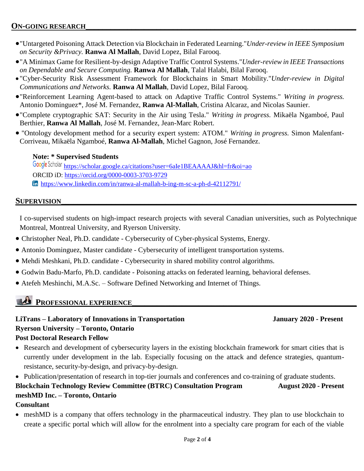- "Untargeted Poisoning Attack Detection via Blockchain in Federated Learning."*Under-review in IEEE Symposium on Security &Privacy.* **Ranwa Al Mallah**, David Lopez, Bilal Farooq.
- "A Minimax Game for Resilient-by-design Adaptive Traffic Control Systems."*Under-review in IEEE Transactions on Dependable and Secure Computing.* **Ranwa Al Mallah**, Talal Halabi, Bilal Farooq.
- "Cyber-Security Risk Assessment Framework for Blockchains in Smart Mobility."*Under-review in Digital Communications and Networks.* **Ranwa Al Mallah**, David Lopez, Bilal Farooq.
- "Reinforcement Learning Agent-based to attack on Adaptive Traffic Control Systems." *Writing in progress.* Antonio Dominguez\*, José M. Fernandez, **Ranwa Al-Mallah**, Cristina Alcaraz, and Nicolas Saunier.
- "Complete cryptographic SAT: Security in the Air using Tesla." *Writing in progress.* Mikaëla Ngamboé, Paul Berthier, **Ranwa Al Mallah**, José M. Fernandez, Jean-Marc Robert.
- "Ontology development method for a security expert system: ATOM." *Writing in progress.* Simon Malenfant-Corriveau, Mikaëla Ngamboé, **Ranwa Al-Mallah**, Michel Gagnon, José Fernandez.

#### **Note: \* Supervised Students**

Google Scholar <https://scholar.google.ca/citations?user=6aIe1BEAAAAJ&hl=fr&oi=ao> ORCID iD:<https://orcid.org/0000-0003-3703-9729> <https://www.linkedin.com/in/ranwa-al-mallah-b-ing-m-sc-a-ph-d-42112791/>

#### ${\large\bf SUPERVISION}$

I co-supervised students on high-impact research projects with several Canadian universities, such as Polytechnique Montreal, Montreal University, and Ryerson University.

- Christopher Neal, Ph.D. candidate Cybersecurity of Cyber-physical Systems, Energy.
- Antonio Dominguez, Master candidate Cybersecurity of intelligent transportation systems.
- Mehdi Meshkani, Ph.D. candidate Cybersecurity in shared mobility control algorithms.
- Godwin Badu-Marfo, Ph.D. candidate Poisoning attacks on federated learning, behavioral defenses.
- Atefeh Meshinchi, M.A.Sc. Software Defined Networking and Internet of Things.

## **PROFESSIONAL EXPERIENCE**

**LiTrans – Laboratory of Innovations in Transportation January 2020 - Present Ryerson University – Toronto, Ontario Post Doctoral Research Fellow** 

- Research and development of cybersecurity layers in the existing blockchain framework for smart cities that is currently under development in the lab. Especially focusing on the attack and defence strategies, quantumresistance, security-by-design, and privacy-by-design.
- Publication/presentation of research in top-tier journals and conferences and co-training of graduate students.

## **Blockchain Technology Review Committee (BTRC) Consultation Program August 2020 - Present meshMD Inc. – Toronto, Ontario**

#### **Consultant**

 meshMD is a company that offers technology in the pharmaceutical industry. They plan to use blockchain to create a specific portal which will allow for the enrolment into a specialty care program for each of the viable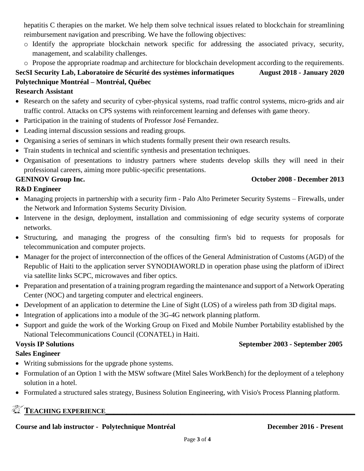hepatitis C therapies on the market. We help them solve technical issues related to blockchain for streamlining reimbursement navigation and prescribing. We have the following objectives:

- o Identify the appropriate blockchain network specific for addressing the associated privacy, security, management, and scalability challenges.
- o Propose the appropriate roadmap and architecture for blockchain development according to the requirements.

## **SecSI Security Lab, Laboratoire de Sécurité des systèmes informatiques August 2018 - January 2020 Polytechnique Montréal – Montréal, Québec**

#### **Research Assistant**

- Research on the safety and security of cyber-physical systems, road traffic control systems, micro-grids and air traffic control. Attacks on CPS systems with reinforcement learning and defenses with game theory.
- Participation in the training of students of Professor José Fernandez.
- Leading internal discussion sessions and reading groups.
- Organising a series of seminars in which students formally present their own research results.
- Train students in technical and scientific synthesis and presentation techniques.
- Organisation of presentations to industry partners where students develop skills they will need in their professional careers, aiming more public-specific presentations.

#### **GENINOV Group Inc. October 2008 - December 2013**

#### **R&D Engineer**

- Managing projects in partnership with a security firm Palo Alto Perimeter Security Systems Firewalls, under the Network and Information Systems Security Division.
- Intervene in the design, deployment, installation and commissioning of edge security systems of corporate networks.
- Structuring, and managing the progress of the consulting firm's bid to requests for proposals for telecommunication and computer projects.
- Manager for the project of interconnection of the offices of the General Administration of Customs (AGD) of the Republic of Haiti to the application server SYNODIAWORLD in operation phase using the platform of iDirect via satellite links SCPC, microwaves and fiber optics.
- Preparation and presentation of a training program regarding the maintenance and support of a Network Operating Center (NOC) and targeting computer and electrical engineers.
- Development of an application to determine the Line of Sight (LOS) of a wireless path from 3D digital maps.
- Integration of applications into a module of the 3G-4G network planning platform.
- Support and guide the work of the Working Group on Fixed and Mobile Number Portability established by the National Telecommunications Council (CONATEL) in Haiti.

#### **Voysis IP Solutions** September **2003** - September **2005**

#### **Sales Engineer**

- Writing submissions for the upgrade phone systems.
- Formulation of an Option 1 with the MSW software (Mitel Sales WorkBench) for the deployment of a telephony solution in a hotel.
- Formulated a structured sales strategy, Business Solution Engineering, with Visio's Process Planning platform.

## **TEACHING EXPERIENCE\_\_\_\_\_\_\_\_\_\_\_\_\_\_\_\_\_\_\_\_\_\_\_\_\_\_\_\_\_\_\_\_\_\_\_\_\_\_\_\_\_\_\_\_\_\_\_\_\_\_\_\_\_\_\_\_\_\_\_\_**

#### **Course and lab instructor - Polytechnique Montréal December 2016 - Present**